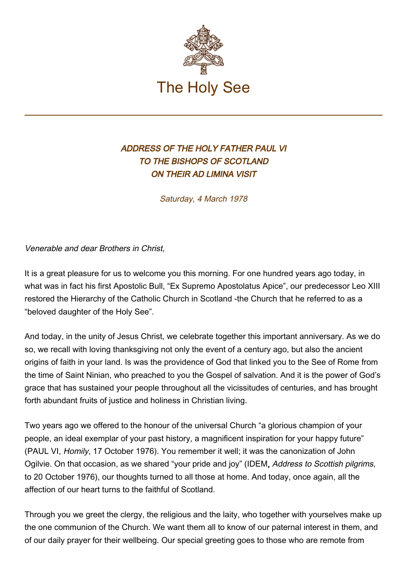

## ADDRESS OF THE HOLY FATHER PAUL VI TO THE BISHOPS OF SCOTLAND ON THEIR AD LIMINA VISIT

Saturday, 4 March 1978

Venerable and dear Brothers in Christ,

It is a great pleasure for us to welcome you this morning. For one hundred years ago today, in what was in fact his first Apostolic Bull, "Ex Supremo Apostolatus Apice", our predecessor Leo XIII restored the Hierarchy of the Catholic Church in Scotland -the Church that he referred to as a "beloved daughter of the Holy See".

And today, in the unity of Jesus Christ, we celebrate together this important anniversary. As we do so, we recall with loving thanksgiving not only the event of a century ago, but also the ancient origins of faith in your land. Is was the providence of God that linked you to the See of Rome from the time of Saint Ninian, who preached to you the Gospel of salvation. And it is the power of God's grace that has sustained your people throughout all the vicissitudes of centuries, and has brought forth abundant fruits of justice and holiness in Christian living.

Two years ago we offered to the honour of the universal Church "a glorious champion of your people, an ideal exemplar of your past history, a magnificent inspiration for your happy future" (PAUL VI, Homily, 17 October 1976). You remember it well; it was the canonization of John Ogilvie. On that occasion, as we shared "your pride and joy" (IDEM, Address to Scottish pilgrims, to 20 October 1976), our thoughts turned to all those at home. And today, once again, all the affection of our heart turns to the faithful of Scotland.

Through you we greet the clergy, the religious and the laity, who together with yourselves make up the one communion of the Church. We want them all to know of our paternal interest in them, and of our daily prayer for their wellbeing. Our special greeting goes to those who are remote from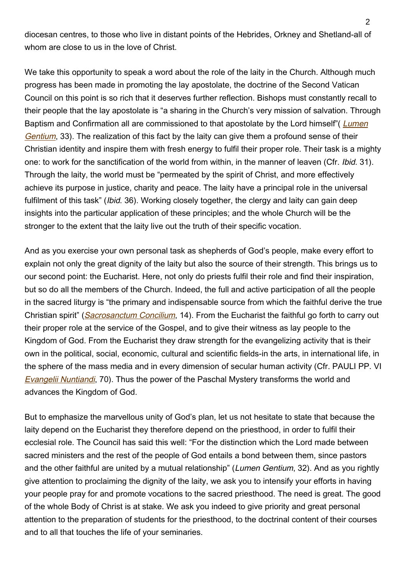diocesan centres, to those who live in distant points of the Hebrides, Orkney and Shetland-all of whom are close to us in the love of Christ.

We take this opportunity to speak a word about the role of the laity in the Church. Although much progress has been made in promoting the lay apostolate, the doctrine of the Second Vatican Council on this point is so rich that it deserves further reflection. Bishops must constantly recall to their people that the lay apostolate is "a sharing in the Church's very mission of salvation. Through Baptism and Confirmation all are commissioned to that apostolate by the Lord himself" ([Lumen](http://www.vatican.va/archive/hist_councils/ii_vatican_council/documents/vat-ii_const_19641121_lumen-gentium_en.html) [Gentium](http://www.vatican.va/archive/hist_councils/ii_vatican_council/documents/vat-ii_const_19641121_lumen-gentium_en.html), 33). The realization of this fact by the laity can give them a profound sense of their Christian identity and inspire them with fresh energy to fulfil their proper role. Their task is a mighty one: to work for the sanctification of the world from within, in the manner of leaven (Cfr. Ibid. 31). Through the laity, the world must be "permeated by the spirit of Christ, and more effectively achieve its purpose in justice, charity and peace. The laity have a principal role in the universal fulfilment of this task" (*Ibid.* 36). Working closely together, the clergy and laity can gain deep insights into the particular application of these principles; and the whole Church will be the stronger to the extent that the laity live out the truth of their specific vocation.

And as you exercise your own personal task as shepherds of God's people, make every effort to explain not only the great dignity of the laity but also the source of their strength. This brings us to our second point: the Eucharist. Here, not only do priests fulfil their role and find their inspiration, but so do all the members of the Church. Indeed, the full and active participation of all the people in the sacred liturgy is "the primary and indispensable source from which the faithful derive the true Christian spirit" ([Sacrosanctum Concilium](http://www.vatican.va/archive/hist_councils/ii_vatican_council/documents/vat-ii_const_19631204_sacrosanctum-concilium_en.html), 14). From the Eucharist the faithful go forth to carry out their proper role at the service of the Gospel, and to give their witness as lay people to the Kingdom of God. From the Eucharist they draw strength for the evangelizing activity that is their own in the political, social, economic, cultural and scientific fields-in the arts, in international life, in the sphere of the mass media and in every dimension of secular human activity (Cfr. PAULI PP. VI [Evangelii Nuntiandi](https://www.vatican.va/content/paul-vi/en/apost_exhortations/documents/hf_p-vi_exh_19751208_evangelii-nuntiandi.html), 70). Thus the power of the Paschal Mystery transforms the world and advances the Kingdom of God.

But to emphasize the marvellous unity of God's plan, let us not hesitate to state that because the laity depend on the Eucharist they therefore depend on the priesthood, in order to fulfil their ecclesial role. The Council has said this well: "For the distinction which the Lord made between sacred ministers and the rest of the people of God entails a bond between them, since pastors and the other faithful are united by a mutual relationship" (Lumen Gentium, 32). And as you rightly give attention to proclaiming the dignity of the laity, we ask you to intensify your efforts in having your people pray for and promote vocations to the sacred priesthood. The need is great. The good of the whole Body of Christ is at stake. We ask you indeed to give priority and great personal attention to the preparation of students for the priesthood, to the doctrinal content of their courses and to all that touches the life of your seminaries.